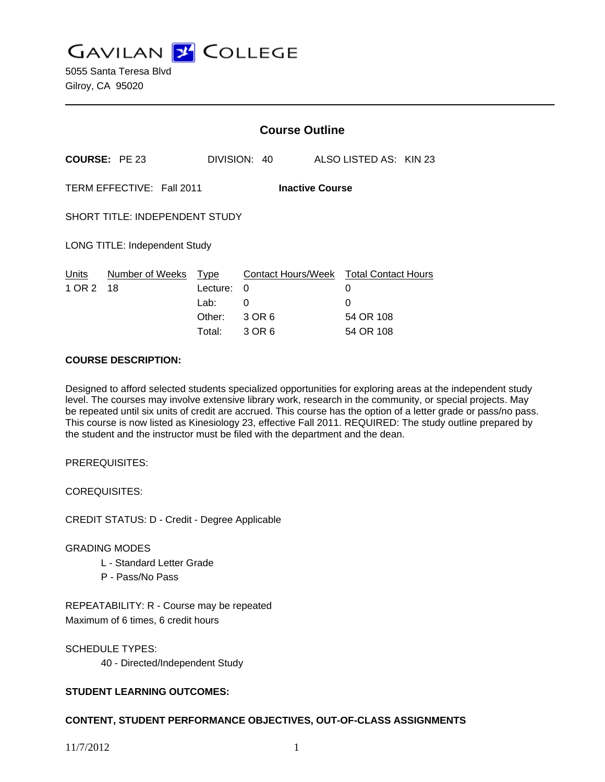**GAVILAN J COLLEGE** 

|                                                     |                                                       | <b>Course Outline</b> |                    |                        |                            |  |
|-----------------------------------------------------|-------------------------------------------------------|-----------------------|--------------------|------------------------|----------------------------|--|
|                                                     | <b>COURSE: PE 23</b>                                  |                       | DIVISION: 40       | ALSO LISTED AS: KIN 23 |                            |  |
| TERM EFFECTIVE: Fall 2011<br><b>Inactive Course</b> |                                                       |                       |                    |                        |                            |  |
| SHORT TITLE: INDEPENDENT STUDY                      |                                                       |                       |                    |                        |                            |  |
| <b>LONG TITLE: Independent Study</b>                |                                                       |                       |                    |                        |                            |  |
| Units<br>1 OR 2                                     | Number of Weeks<br><b>Type</b><br>18<br>Lecture:<br>0 |                       | Contact Hours/Week | 0                      | <b>Total Contact Hours</b> |  |
|                                                     |                                                       | Lab:                  | 0                  | 0                      |                            |  |
|                                                     |                                                       | Other:                | 3 OR 6             | 54 OR 108              |                            |  |
|                                                     |                                                       | Total:                | 3 OR 6             | 54 OR 108              |                            |  |

#### **COURSE DESCRIPTION:**

Designed to afford selected students specialized opportunities for exploring areas at the independent study level. The courses may involve extensive library work, research in the community, or special projects. May be repeated until six units of credit are accrued. This course has the option of a letter grade or pass/no pass. This course is now listed as Kinesiology 23, effective Fall 2011. REQUIRED: The study outline prepared by the student and the instructor must be filed with the department and the dean.

PREREQUISITES:

COREQUISITES:

CREDIT STATUS: D - Credit - Degree Applicable

## GRADING MODES

- L Standard Letter Grade
- P Pass/No Pass

REPEATABILITY: R - Course may be repeated Maximum of 6 times, 6 credit hours

SCHEDULE TYPES: 40 - Directed/Independent Study

## **STUDENT LEARNING OUTCOMES:**

## **CONTENT, STUDENT PERFORMANCE OBJECTIVES, OUT-OF-CLASS ASSIGNMENTS**

11/7/2012 1